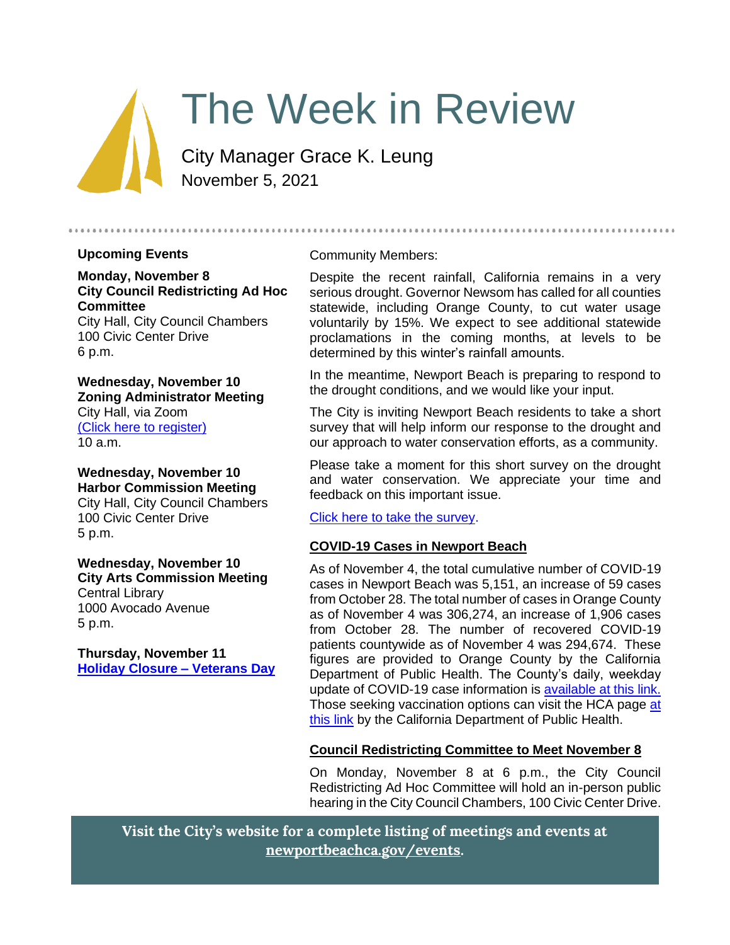

# The Week in Review

City Manager Grace K. Leung November 5, 2021

#### **Upcoming Events**

**Monday, November 8 City Council Redistricting Ad Hoc Committee** City Hall, City Council Chambers

100 Civic Center Drive 6 p.m.

**Wednesday, November 10 Zoning Administrator Meeting** City Hall, via Zoom [\(Click here to register\)](https://us06web.zoom.us/webinar/register/WN_86ebsrY_RMGEkEepKCDksA) 10 a.m.

**Wednesday, November 10 Harbor Commission Meeting** City Hall, City Council Chambers 100 Civic Center Drive 5 p.m.

**Wednesday, November 10 City Arts Commission Meeting** Central Library 1000 Avocado Avenue 5 p.m.

**Thursday, November 11 [Holiday Closure –](https://newportbeachca.gov/Home/Components/Calendar/Event/67095/72) Veterans Day**

#### Community Members:

Despite the recent rainfall, California remains in a very serious drought. Governor Newsom has called for all counties statewide, including Orange County, to cut water usage voluntarily by 15%. We expect to see additional statewide proclamations in the coming months, at levels to be determined by this winter's rainfall amounts.

In the meantime, Newport Beach is preparing to respond to the drought conditions, and we would like your input.

The City is inviting Newport Beach residents to take a short survey that will help inform our response to the drought and our approach to water conservation efforts, as a community.

Please take a moment for this short survey on the drought and water conservation. We appreciate your time and feedback on this important issue.

[Click here to take the survey.](https://elucd.typeform.com/to/TTy8RAoz?id=LUHXOCHPHEUYSFESOFHWVZQQBORGQSQUXNTVASHCZFCKJKMVYAEVHUOLSEGWVIHELMVYCFCUBVEFJFEPYEMTSVYKUFRAAFYZIXBS&latitude=33.6846&longitude=-117.827)

#### **COVID-19 Cases in Newport Beach**

As of November 4, the total cumulative number of COVID-19 cases in Newport Beach was 5,151, an increase of 59 cases from October 28. The total number of cases in Orange County as of November 4 was 306,274, an increase of 1,906 cases from October 28. The number of recovered COVID-19 patients countywide as of November 4 was 294,674. These figures are provided to Orange County by the California Department of Public Health. The County's daily, weekday update of COVID-19 case information is [available at this link.](https://ochca.maps.arcgis.com/apps/dashboards/cc4859c8c522496b9f21c451de2fedae) Those seeking vaccination options can visit the HCA page at [this link](https://occovid19.ochealthinfo.com/covid-19-vaccine-distribution-channels) by the California Department of Public Health.

## **Council Redistricting Committee to Meet November 8**

On Monday, November 8 at 6 p.m., the City Council Redistricting Ad Hoc Committee will hold an in-person public hearing in the City Council Chambers, 100 Civic Center Drive.

**Visit the City's website for a complete listing of meetings and events at [newportbeachca.gov/events.](https://www.newportbeachca.gov/government/data-hub/city-calendar)**